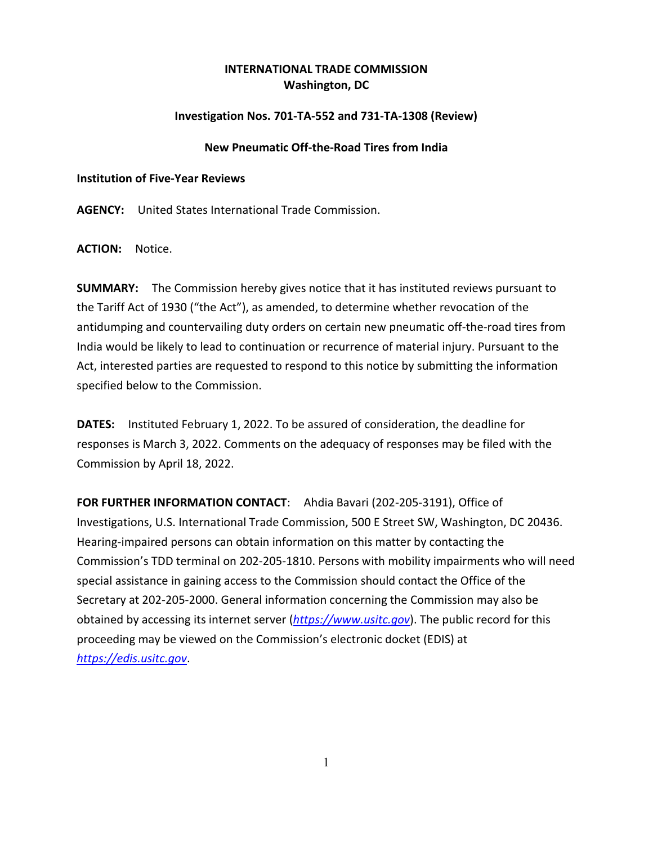# **INTERNATIONAL TRADE COMMISSION Washington, DC**

## **Investigation Nos. 701-TA-552 and 731-TA-1308 (Review)**

### **New Pneumatic Off-the-Road Tires from India**

#### **Institution of Five-Year Reviews**

**AGENCY:** United States International Trade Commission.

**ACTION:** Notice.

**SUMMARY:** The Commission hereby gives notice that it has instituted reviews pursuant to the Tariff Act of 1930 ("the Act"), as amended, to determine whether revocation of the antidumping and countervailing duty orders on certain new pneumatic off-the-road tires from India would be likely to lead to continuation or recurrence of material injury. Pursuant to the Act, interested parties are requested to respond to this notice by submitting the information specified below to the Commission.

**DATES:** Instituted February 1, 2022. To be assured of consideration, the deadline for responses is March 3, 2022. Comments on the adequacy of responses may be filed with the Commission by April 18, 2022.

**FOR FURTHER INFORMATION CONTACT**: Ahdia Bavari (202-205-3191), Office of Investigations, U.S. International Trade Commission, 500 E Street SW, Washington, DC 20436. Hearing-impaired persons can obtain information on this matter by contacting the Commission's TDD terminal on 202-205-1810. Persons with mobility impairments who will need special assistance in gaining access to the Commission should contact the Office of the Secretary at 202-205-2000. General information concerning the Commission may also be obtained by accessing its internet server (*[https://www.usitc.gov](https://www.usitc.gov/)*). The public record for this proceeding may be viewed on the Commission's electronic docket (EDIS) at *[https://edis.usitc.gov](https://edis.usitc.gov/)*.

1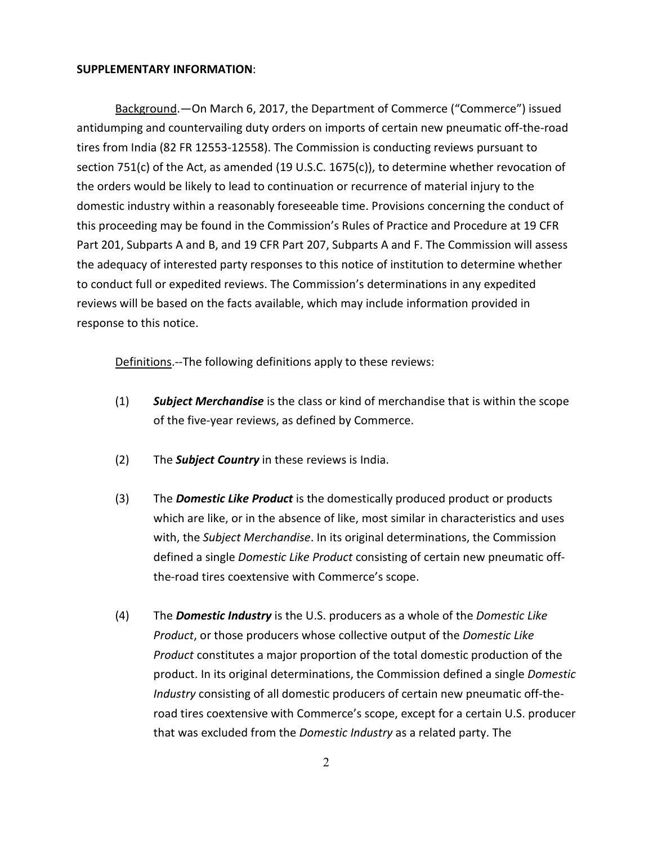#### **SUPPLEMENTARY INFORMATION**:

Background.—On March 6, 2017, the Department of Commerce ("Commerce") issued antidumping and countervailing duty orders on imports of certain new pneumatic off-the-road tires from India (82 FR 12553-12558). The Commission is conducting reviews pursuant to section 751(c) of the Act, as amended (19 U.S.C. 1675(c)), to determine whether revocation of the orders would be likely to lead to continuation or recurrence of material injury to the domestic industry within a reasonably foreseeable time. Provisions concerning the conduct of this proceeding may be found in the Commission's Rules of Practice and Procedure at 19 CFR Part 201, Subparts A and B, and 19 CFR Part 207, Subparts A and F. The Commission will assess the adequacy of interested party responses to this notice of institution to determine whether to conduct full or expedited reviews. The Commission's determinations in any expedited reviews will be based on the facts available, which may include information provided in response to this notice.

Definitions.--The following definitions apply to these reviews:

- (1) *Subject Merchandise* is the class or kind of merchandise that is within the scope of the five-year reviews, as defined by Commerce.
- (2) The *Subject Country* in these reviews is India.
- (3) The *Domestic Like Product* is the domestically produced product or products which are like, or in the absence of like, most similar in characteristics and uses with, the *Subject Merchandise*. In its original determinations, the Commission defined a single *Domestic Like Product* consisting of certain new pneumatic offthe-road tires coextensive with Commerce's scope.
- (4) The *Domestic Industry* is the U.S. producers as a whole of the *Domestic Like Product*, or those producers whose collective output of the *Domestic Like Product* constitutes a major proportion of the total domestic production of the product. In its original determinations, the Commission defined a single *Domestic Industry* consisting of all domestic producers of certain new pneumatic off-theroad tires coextensive with Commerce's scope, except for a certain U.S. producer that was excluded from the *Domestic Industry* as a related party. The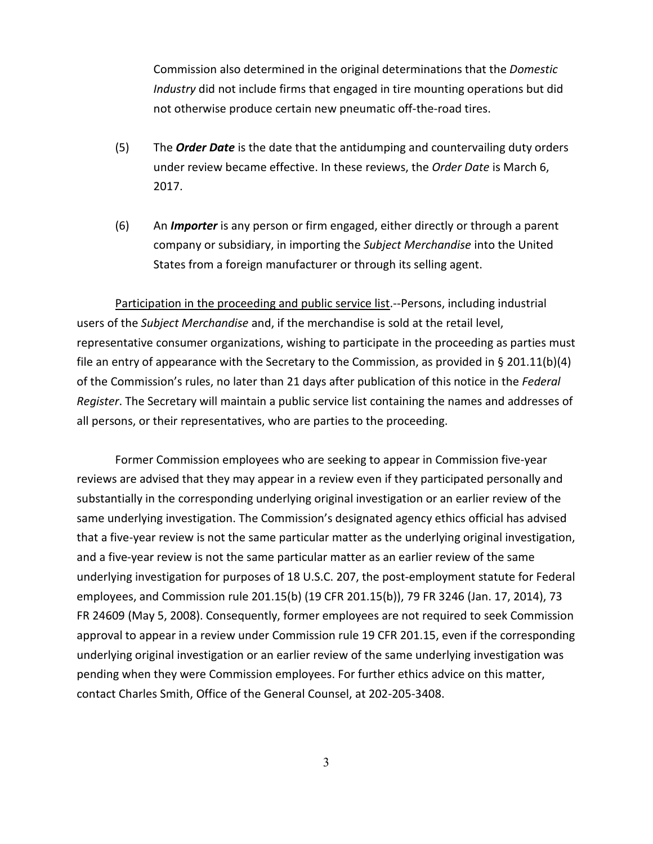Commission also determined in the original determinations that the *Domestic Industry* did not include firms that engaged in tire mounting operations but did not otherwise produce certain new pneumatic off-the-road tires.

- (5) The *Order Date* is the date that the antidumping and countervailing duty orders under review became effective. In these reviews, the *Order Date* is March 6, 2017.
- (6) An *Importer* is any person or firm engaged, either directly or through a parent company or subsidiary, in importing the *Subject Merchandise* into the United States from a foreign manufacturer or through its selling agent.

Participation in the proceeding and public service list.--Persons, including industrial users of the *Subject Merchandise* and, if the merchandise is sold at the retail level, representative consumer organizations, wishing to participate in the proceeding as parties must file an entry of appearance with the Secretary to the Commission, as provided in § 201.11(b)(4) of the Commission's rules, no later than 21 days after publication of this notice in the *Federal Register*. The Secretary will maintain a public service list containing the names and addresses of all persons, or their representatives, who are parties to the proceeding.

Former Commission employees who are seeking to appear in Commission five-year reviews are advised that they may appear in a review even if they participated personally and substantially in the corresponding underlying original investigation or an earlier review of the same underlying investigation. The Commission's designated agency ethics official has advised that a five-year review is not the same particular matter as the underlying original investigation, and a five-year review is not the same particular matter as an earlier review of the same underlying investigation for purposes of 18 U.S.C. 207, the post-employment statute for Federal employees, and Commission rule 201.15(b) (19 CFR 201.15(b)), 79 FR 3246 (Jan. 17, 2014), 73 FR 24609 (May 5, 2008). Consequently, former employees are not required to seek Commission approval to appear in a review under Commission rule 19 CFR 201.15, even if the corresponding underlying original investigation or an earlier review of the same underlying investigation was pending when they were Commission employees. For further ethics advice on this matter, contact Charles Smith, Office of the General Counsel, at 202-205-3408.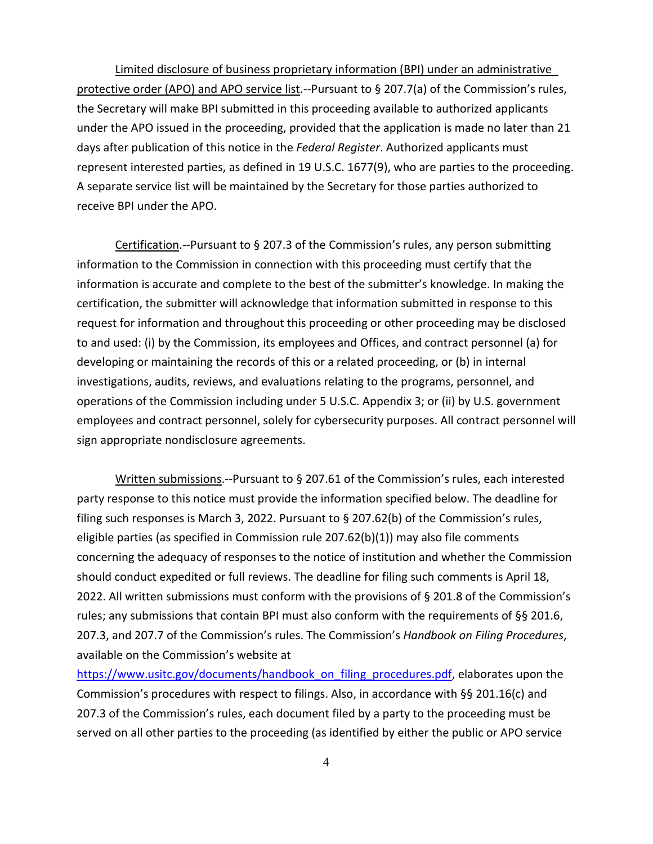Limited disclosure of business proprietary information (BPI) under an administrative protective order (APO) and APO service list.--Pursuant to § 207.7(a) of the Commission's rules, the Secretary will make BPI submitted in this proceeding available to authorized applicants under the APO issued in the proceeding, provided that the application is made no later than 21 days after publication of this notice in the *Federal Register*. Authorized applicants must represent interested parties, as defined in 19 U.S.C. 1677(9), who are parties to the proceeding. A separate service list will be maintained by the Secretary for those parties authorized to receive BPI under the APO.

Certification.--Pursuant to § 207.3 of the Commission's rules, any person submitting information to the Commission in connection with this proceeding must certify that the information is accurate and complete to the best of the submitter's knowledge. In making the certification, the submitter will acknowledge that information submitted in response to this request for information and throughout this proceeding or other proceeding may be disclosed to and used: (i) by the Commission, its employees and Offices, and contract personnel (a) for developing or maintaining the records of this or a related proceeding, or (b) in internal investigations, audits, reviews, and evaluations relating to the programs, personnel, and operations of the Commission including under 5 U.S.C. Appendix 3; or (ii) by U.S. government employees and contract personnel, solely for cybersecurity purposes. All contract personnel will sign appropriate nondisclosure agreements.

Written submissions.--Pursuant to § 207.61 of the Commission's rules, each interested party response to this notice must provide the information specified below. The deadline for filing such responses is March 3, 2022. Pursuant to § 207.62(b) of the Commission's rules, eligible parties (as specified in Commission rule 207.62(b)(1)) may also file comments concerning the adequacy of responses to the notice of institution and whether the Commission should conduct expedited or full reviews. The deadline for filing such comments is April 18, 2022. All written submissions must conform with the provisions of § 201.8 of the Commission's rules; any submissions that contain BPI must also conform with the requirements of §§ 201.6, 207.3, and 207.7 of the Commission's rules. The Commission's *Handbook on Filing Procedures*, available on the Commission's website at

[https://www.usitc.gov/documents/handbook\\_on\\_filing\\_procedures.pdf,](https://www.usitc.gov/documents/handbook_on_filing_procedures.pdf) elaborates upon the Commission's procedures with respect to filings. Also, in accordance with §§ 201.16(c) and 207.3 of the Commission's rules, each document filed by a party to the proceeding must be served on all other parties to the proceeding (as identified by either the public or APO service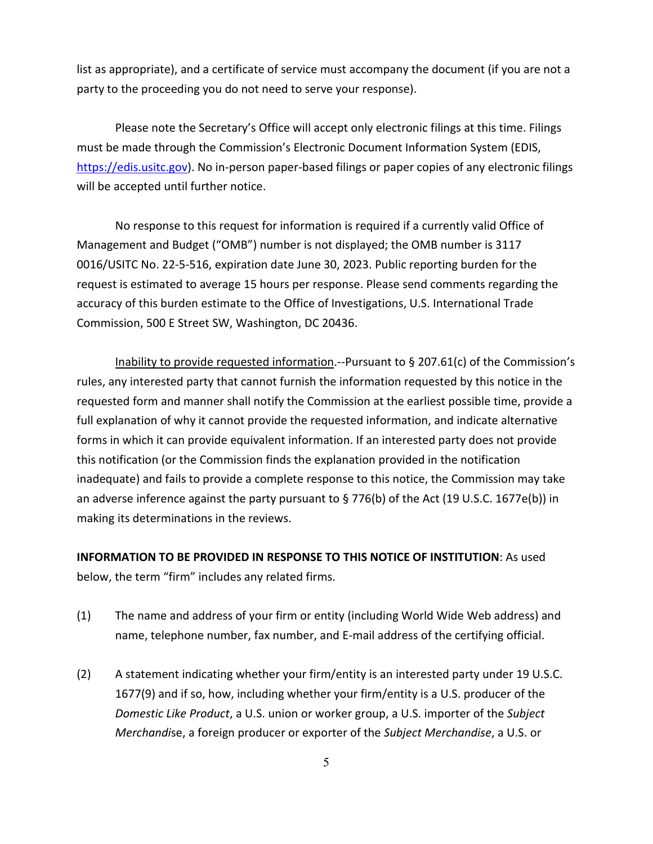list as appropriate), and a certificate of service must accompany the document (if you are not a party to the proceeding you do not need to serve your response).

Please note the Secretary's Office will accept only electronic filings at this time. Filings must be made through the Commission's Electronic Document Information System (EDIS, [https://edis.usitc.gov\)](https://edis.usitc.gov/). No in-person paper-based filings or paper copies of any electronic filings will be accepted until further notice.

No response to this request for information is required if a currently valid Office of Management and Budget ("OMB") number is not displayed; the OMB number is 3117 0016/USITC No. 22-5-516, expiration date June 30, 2023. Public reporting burden for the request is estimated to average 15 hours per response. Please send comments regarding the accuracy of this burden estimate to the Office of Investigations, U.S. International Trade Commission, 500 E Street SW, Washington, DC 20436.

Inability to provide requested information.--Pursuant to § 207.61(c) of the Commission's rules, any interested party that cannot furnish the information requested by this notice in the requested form and manner shall notify the Commission at the earliest possible time, provide a full explanation of why it cannot provide the requested information, and indicate alternative forms in which it can provide equivalent information. If an interested party does not provide this notification (or the Commission finds the explanation provided in the notification inadequate) and fails to provide a complete response to this notice, the Commission may take an adverse inference against the party pursuant to § 776(b) of the Act (19 U.S.C. 1677e(b)) in making its determinations in the reviews.

**INFORMATION TO BE PROVIDED IN RESPONSE TO THIS NOTICE OF INSTITUTION**: As used below, the term "firm" includes any related firms.

- (1) The name and address of your firm or entity (including World Wide Web address) and name, telephone number, fax number, and E-mail address of the certifying official.
- (2) A statement indicating whether your firm/entity is an interested party under 19 U.S.C. 1677(9) and if so, how, including whether your firm/entity is a U.S. producer of the *Domestic Like Product*, a U.S. union or worker group, a U.S. importer of the *Subject Merchandi*se, a foreign producer or exporter of the *Subject Merchandise*, a U.S. or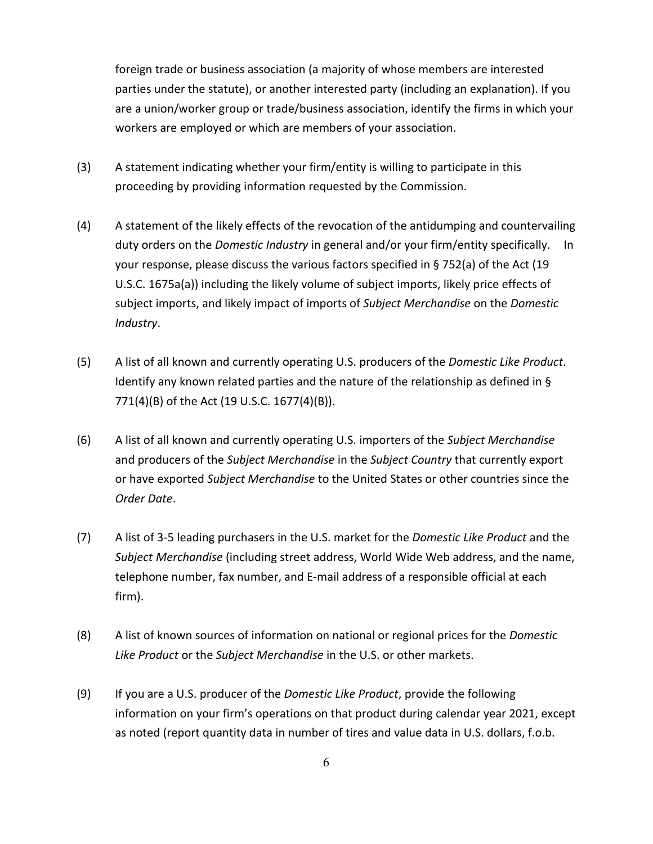foreign trade or business association (a majority of whose members are interested parties under the statute), or another interested party (including an explanation). If you are a union/worker group or trade/business association, identify the firms in which your workers are employed or which are members of your association.

- (3) A statement indicating whether your firm/entity is willing to participate in this proceeding by providing information requested by the Commission.
- (4) A statement of the likely effects of the revocation of the antidumping and countervailing duty orders on the *Domestic Industry* in general and/or your firm/entity specifically. In your response, please discuss the various factors specified in § 752(a) of the Act (19 U.S.C. 1675a(a)) including the likely volume of subject imports, likely price effects of subject imports, and likely impact of imports of *Subject Merchandise* on the *Domestic Industry*.
- (5) A list of all known and currently operating U.S. producers of the *Domestic Like Product*. Identify any known related parties and the nature of the relationship as defined in  $\S$ 771(4)(B) of the Act (19 U.S.C. 1677(4)(B)).
- (6) A list of all known and currently operating U.S. importers of the *Subject Merchandise* and producers of the *Subject Merchandise* in the *Subject Country* that currently export or have exported *Subject Merchandise* to the United States or other countries since the *Order Date*.
- (7) A list of 3-5 leading purchasers in the U.S. market for the *Domestic Like Product* and the *Subject Merchandise* (including street address, World Wide Web address, and the name, telephone number, fax number, and E-mail address of a responsible official at each firm).
- (8) A list of known sources of information on national or regional prices for the *Domestic Like Product* or the *Subject Merchandise* in the U.S. or other markets.
- (9) If you are a U.S. producer of the *Domestic Like Product*, provide the following information on your firm's operations on that product during calendar year 2021, except as noted (report quantity data in number of tires and value data in U.S. dollars, f.o.b.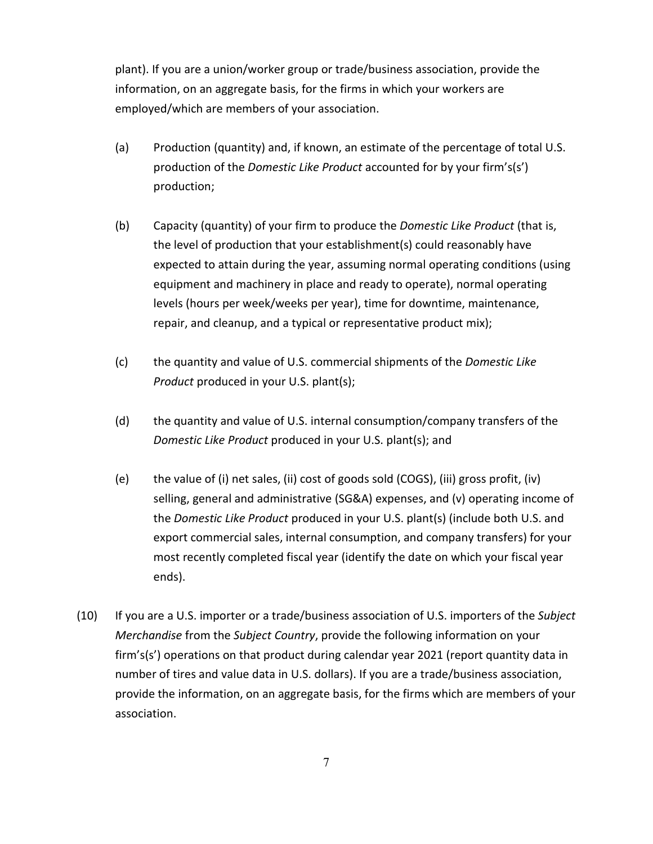plant). If you are a union/worker group or trade/business association, provide the information, on an aggregate basis, for the firms in which your workers are employed/which are members of your association.

- (a) Production (quantity) and, if known, an estimate of the percentage of total U.S. production of the *Domestic Like Product* accounted for by your firm's(s') production;
- (b) Capacity (quantity) of your firm to produce the *Domestic Like Product* (that is, the level of production that your establishment(s) could reasonably have expected to attain during the year, assuming normal operating conditions (using equipment and machinery in place and ready to operate), normal operating levels (hours per week/weeks per year), time for downtime, maintenance, repair, and cleanup, and a typical or representative product mix);
- (c) the quantity and value of U.S. commercial shipments of the *Domestic Like Product* produced in your U.S. plant(s);
- (d) the quantity and value of U.S. internal consumption/company transfers of the *Domestic Like Product* produced in your U.S. plant(s); and
- (e) the value of (i) net sales, (ii) cost of goods sold (COGS), (iii) gross profit, (iv) selling, general and administrative (SG&A) expenses, and (v) operating income of the *Domestic Like Product* produced in your U.S. plant(s) (include both U.S. and export commercial sales, internal consumption, and company transfers) for your most recently completed fiscal year (identify the date on which your fiscal year ends).
- (10) If you are a U.S. importer or a trade/business association of U.S. importers of the *Subject Merchandise* from the *Subject Country*, provide the following information on your firm's(s') operations on that product during calendar year 2021 (report quantity data in number of tires and value data in U.S. dollars). If you are a trade/business association, provide the information, on an aggregate basis, for the firms which are members of your association.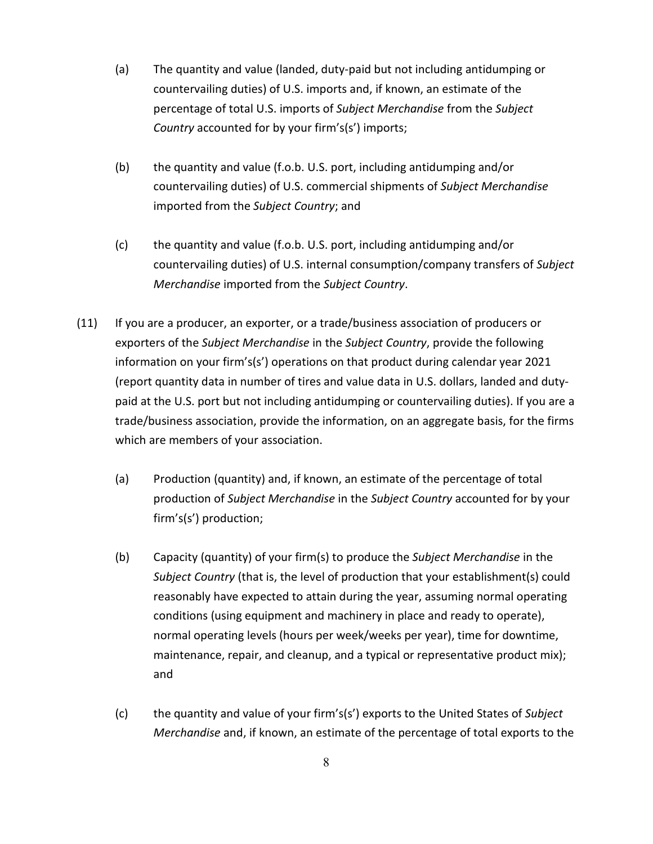- (a) The quantity and value (landed, duty-paid but not including antidumping or countervailing duties) of U.S. imports and, if known, an estimate of the percentage of total U.S. imports of *Subject Merchandise* from the *Subject Country* accounted for by your firm's(s') imports;
- (b) the quantity and value (f.o.b. U.S. port, including antidumping and/or countervailing duties) of U.S. commercial shipments of *Subject Merchandise* imported from the *Subject Country*; and
- (c) the quantity and value (f.o.b. U.S. port, including antidumping and/or countervailing duties) of U.S. internal consumption/company transfers of *Subject Merchandise* imported from the *Subject Country*.
- (11) If you are a producer, an exporter, or a trade/business association of producers or exporters of the *Subject Merchandise* in the *Subject Country*, provide the following information on your firm's(s') operations on that product during calendar year 2021 (report quantity data in number of tires and value data in U.S. dollars, landed and dutypaid at the U.S. port but not including antidumping or countervailing duties). If you are a trade/business association, provide the information, on an aggregate basis, for the firms which are members of your association.
	- (a) Production (quantity) and, if known, an estimate of the percentage of total production of *Subject Merchandise* in the *Subject Country* accounted for by your firm's(s') production;
	- (b) Capacity (quantity) of your firm(s) to produce the *Subject Merchandise* in the *Subject Country* (that is, the level of production that your establishment(s) could reasonably have expected to attain during the year, assuming normal operating conditions (using equipment and machinery in place and ready to operate), normal operating levels (hours per week/weeks per year), time for downtime, maintenance, repair, and cleanup, and a typical or representative product mix); and
	- (c) the quantity and value of your firm's(s') exports to the United States of *Subject Merchandise* and, if known, an estimate of the percentage of total exports to the